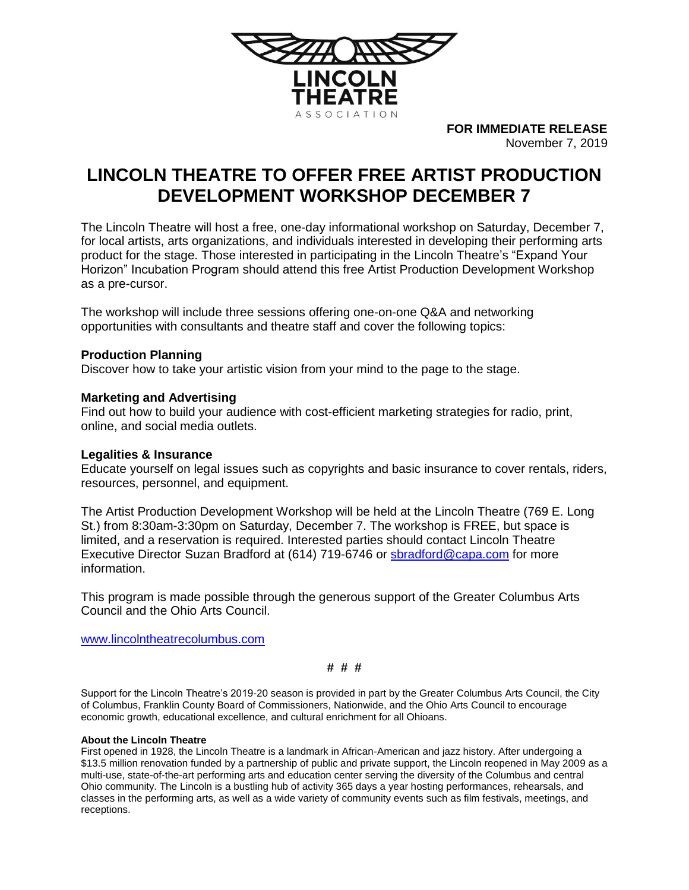

**FOR IMMEDIATE RELEASE** November 7, 2019

# **LINCOLN THEATRE TO OFFER FREE ARTIST PRODUCTION DEVELOPMENT WORKSHOP DECEMBER 7**

The Lincoln Theatre will host a free, one-day informational workshop on Saturday, December 7, for local artists, arts organizations, and individuals interested in developing their performing arts product for the stage. Those interested in participating in the Lincoln Theatre's "Expand Your Horizon" Incubation Program should attend this free Artist Production Development Workshop as a pre-cursor.

The workshop will include three sessions offering one-on-one Q&A and networking opportunities with consultants and theatre staff and cover the following topics:

## **Production Planning**

Discover how to take your artistic vision from your mind to the page to the stage.

## **Marketing and Advertising**

Find out how to build your audience with cost-efficient marketing strategies for radio, print, online, and social media outlets.

#### **Legalities & Insurance**

Educate yourself on legal issues such as copyrights and basic insurance to cover rentals, riders, resources, personnel, and equipment.

The Artist Production Development Workshop will be held at the Lincoln Theatre (769 E. Long St.) from 8:30am-3:30pm on Saturday, December 7. The workshop is FREE, but space is limited, and a reservation is required. Interested parties should contact Lincoln Theatre Executive Director Suzan Bradford at (614) 719-6746 or [sbradford@capa.com](mailto:sbradford@capa.com) for more information.

This program is made possible through the generous support of the Greater Columbus Arts Council and the Ohio Arts Council.

[www.lincolntheatrecolumbus.com](http://www.lincolntheatrecolumbus.com/)

**# # #**

Support for the Lincoln Theatre's 2019-20 season is provided in part by the Greater Columbus Arts Council, the City of Columbus, Franklin County Board of Commissioners, Nationwide, and the Ohio Arts Council to encourage economic growth, educational excellence, and cultural enrichment for all Ohioans.

#### **About the Lincoln Theatre**

First opened in 1928, the Lincoln Theatre is a landmark in African-American and jazz history. After undergoing a \$13.5 million renovation funded by a partnership of public and private support, the Lincoln reopened in May 2009 as a multi-use, state-of-the-art performing arts and education center serving the diversity of the Columbus and central Ohio community. The Lincoln is a bustling hub of activity 365 days a year hosting performances, rehearsals, and classes in the performing arts, as well as a wide variety of community events such as film festivals, meetings, and receptions.